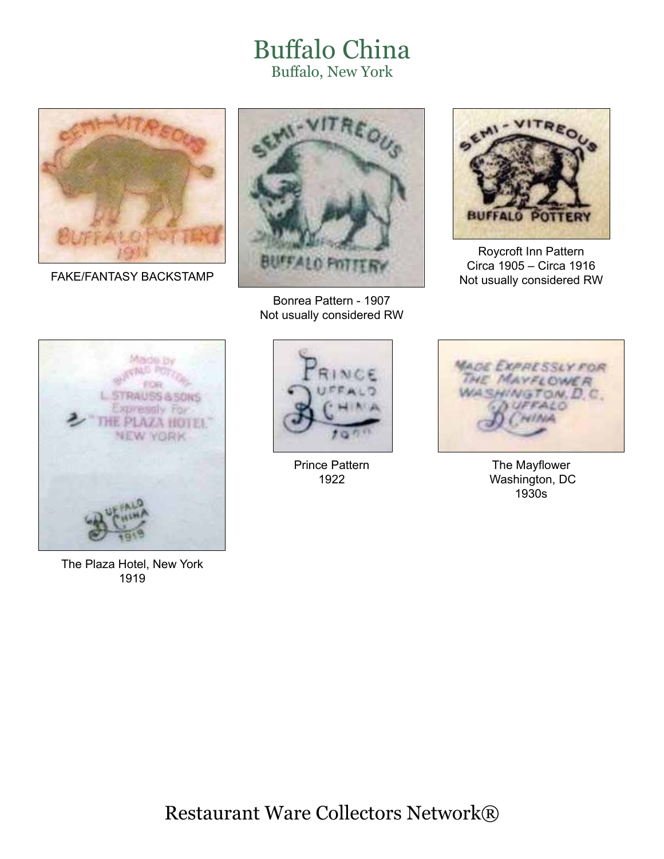## Buffalo China Buffalo, New York



FAKE/FANTASY BACKSTAMP



Bonrea Pattern - 1907 Not usually considered RW



Roycroft Inn Pattern Circa 1905 – Circa 1916 Not usually considered RW



The Plaza Hotel, New York 1919



Prince Pattern 1922



The Mayflower Washington, DC 1930s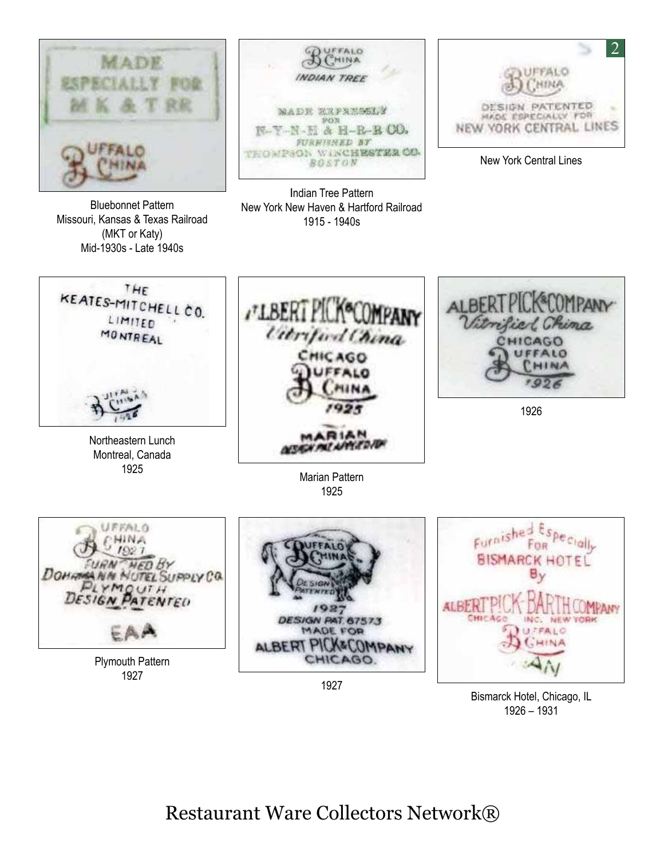



New York Central Lines



Bismarck Hotel, Chicago, IL 1926 – 1931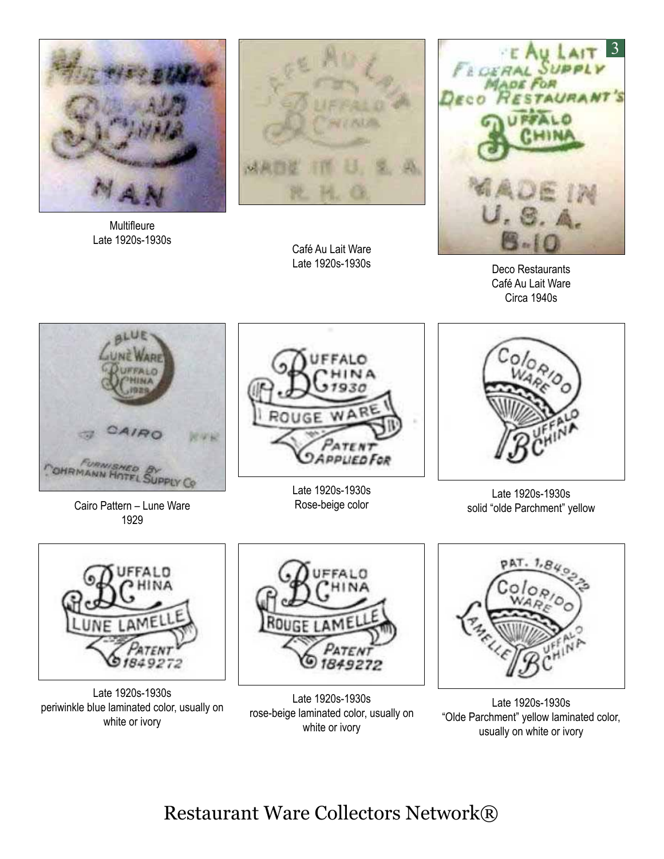

**Multifleure** Late 1920s-1930s



Café Au Lait Ware Late 1920s-1930s



Deco Restaurants Café Au Lait Ware Circa 1940s



Cairo Pattern – Lune Ware 1929

ROUGE w ATEN **APPLIED FOR** 

Late 1920s-1930s Rose-beige color



Late 1920s-1930s solid "olde Parchment" yellow



Late 1920s-1930s periwinkle blue laminated color, usually on white or ivory



Late 1920s-1930s rose-beige laminated color, usually on white or ivory



Late 1920s-1930s "Olde Parchment" yellow laminated color, usually on white or ivory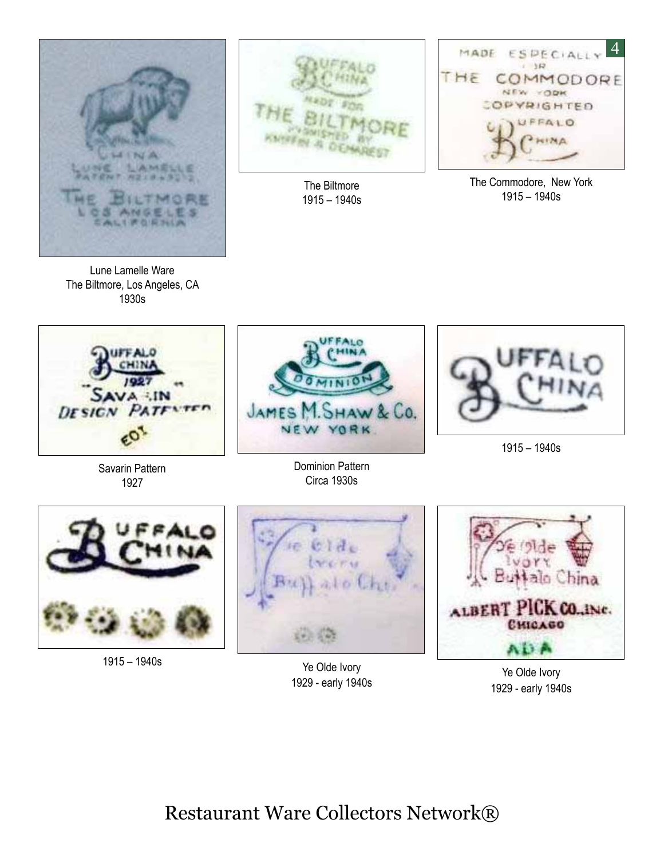

Lune Lamelle Ware The Biltmore, Los Angeles, CA 1930s



The Biltmore 1915 – 1940s



The Commodore, New York 1915 – 1940s





1915 – 1940s

Ye Olde Ivory 1929 - early 1940s

alo China PIUX CO., INC. **ALBERT CHICAGO** AD P

Ye Olde Ivory 1929 - early 1940s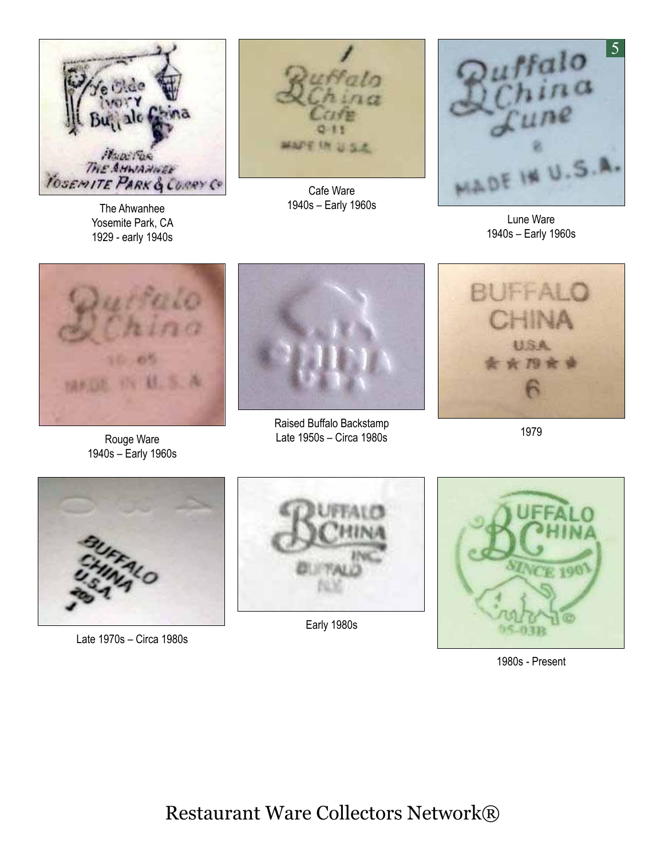

The Ahwanhee Yosemite Park, CA 1929 - early 1940s



Cafe Ware 1940s – Early 1960s



Lune Ware 1940s – Early 1960s



Rouge Ware 1940s – Early 1960s



Raised Buffalo Backstamp Late 1950s – Circa 1980s



1979



Late 1970s – Circa 1980s



Early 1980s



1980s - Present